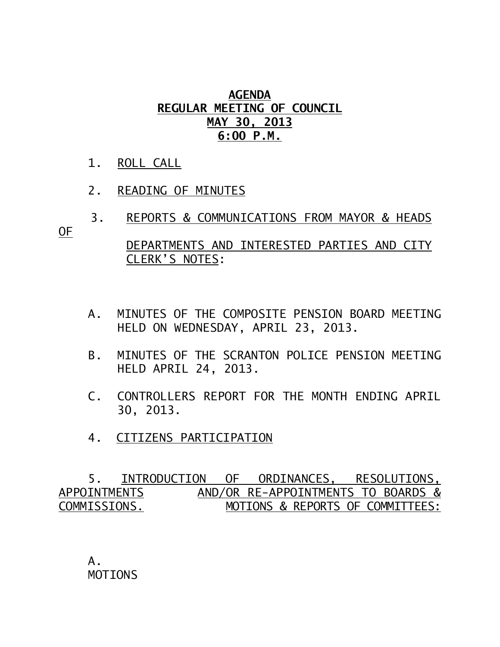## **AGENDA REGULAR MEETING OF COUNCIL MAY 30, 2013 6:00 P.M.**

- 1. ROLL CALL
- 2. READING OF MINUTES

CLERK'S NOTES:

- 3. REPORTS & COMMUNICATIONS FROM MAYOR & HEADS OF DEPARTMENTS AND INTERESTED PARTIES AND CITY
	- A. MINUTES OF THE COMPOSITE PENSION BOARD MEETING

HELD ON WEDNESDAY, APRIL 23, 2013.

- B. MINUTES OF THE SCRANTON POLICE PENSION MEETING HELD APRIL 24, 2013.
- C. CONTROLLERS REPORT FOR THE MONTH ENDING APRIL 30, 2013.
- 4. CITIZENS PARTICIPATION

 5. INTRODUCTION OF ORDINANCES, RESOLUTIONS, APPOINTMENTSAND/OR RE-APPOINTMENTS TO BOARDS & COMMISSIONS. MOTIONS & REPORTS OF COMMITTEES:

A. MOTIONS